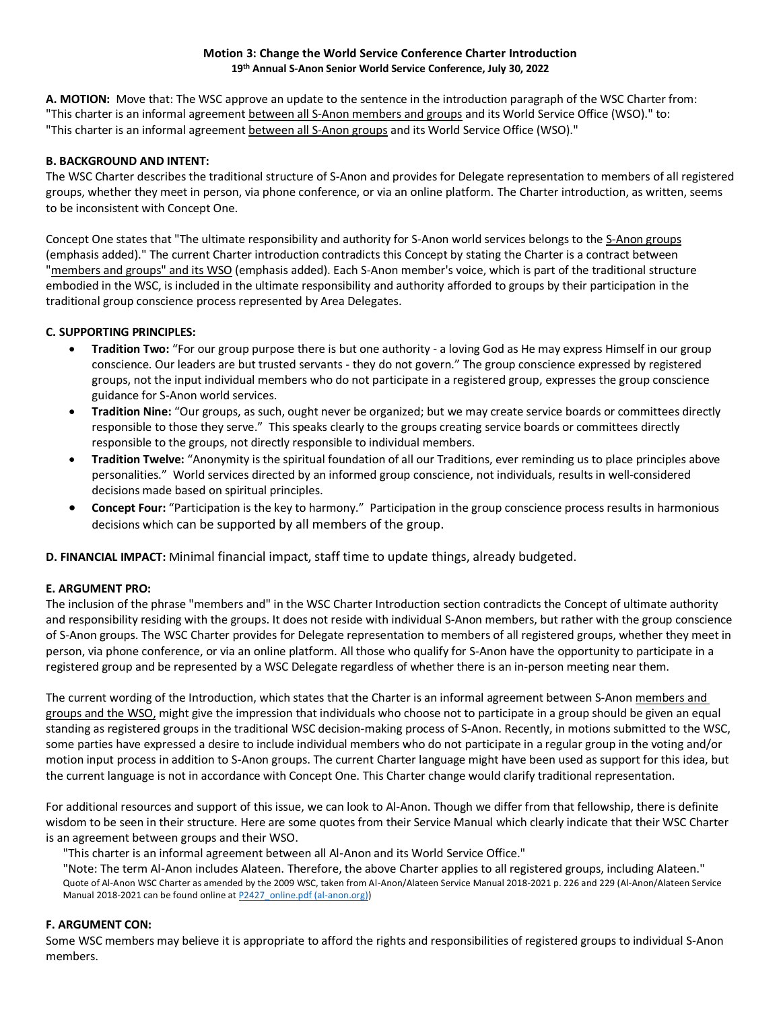#### **Motion 3: Change the World Service Conference Charter Introduction 19th Annual S-Anon Senior World Service Conference, July 30, 2022**

**A. MOTION:** Move that: The WSC approve an update to the sentence in the introduction paragraph of the WSC Charter from: "This charter is an informal agreement between all S-Anon members and groups and its World Service Office (WSO)." to: "This charter is an informal agreement between all S-Anon groups and its World Service Office (WSO)."

# **B. BACKGROUND AND INTENT:**

The WSC Charter describes the traditional structure of S-Anon and provides for Delegate representation to members of all registered groups, whether they meet in person, via phone conference, or via an online platform. The Charter introduction, as written, seems to be inconsistent with Concept One.

Concept One states that "The ultimate responsibility and authority for S-Anon world services belongs to the S-Anon groups (emphasis added)." The current Charter introduction contradicts this Concept by stating the Charter is a contract between "members and groups" and its WSO (emphasis added). Each S-Anon member's voice, which is part of the traditional structure embodied in the WSC, is included in the ultimate responsibility and authority afforded to groups by their participation in the traditional group conscience process represented by Area Delegates.

## **C. SUPPORTING PRINCIPLES:**

- **Tradition Two:** "For our group purpose there is but one authority a loving God as He may express Himself in our group conscience. Our leaders are but trusted servants - they do not govern." The group conscience expressed by registered groups, not the input individual members who do not participate in a registered group, expresses the group conscience guidance for S-Anon world services.
- **Tradition Nine:** "Our groups, as such, ought never be organized; but we may create service boards or committees directly responsible to those they serve." This speaks clearly to the groups creating service boards or committees directly responsible to the groups, not directly responsible to individual members.
- **Tradition Twelve:** "Anonymity is the spiritual foundation of all our Traditions, ever reminding us to place principles above personalities." World services directed by an informed group conscience, not individuals, results in well-considered decisions made based on spiritual principles.
- **Concept Four:** "Participation is the key to harmony." Participation in the group conscience process results in harmonious decisions which can be supported by all members of the group.

**D. FINANCIAL IMPACT:** Minimal financial impact, staff time to update things, already budgeted.

### **E. ARGUMENT PRO:**

The inclusion of the phrase "members and" in the WSC Charter Introduction section contradicts the Concept of ultimate authority and responsibility residing with the groups. It does not reside with individual S-Anon members, but rather with the group conscience of S-Anon groups. The WSC Charter provides for Delegate representation to members of all registered groups, whether they meet in person, via phone conference, or via an online platform. All those who qualify for S-Anon have the opportunity to participate in a registered group and be represented by a WSC Delegate regardless of whether there is an in-person meeting near them.

The current wording of the Introduction, which states that the Charter is an informal agreement between S-Anon members and groups and the WSO, might give the impression that individuals who choose not to participate in a group should be given an equal standing as registered groups in the traditional WSC decision-making process of S-Anon. Recently, in motions submitted to the WSC, some parties have expressed a desire to include individual members who do not participate in a regular group in the voting and/or motion input process in addition to S-Anon groups. The current Charter language might have been used as support for this idea, but the current language is not in accordance with Concept One. This Charter change would clarify traditional representation.

For additional resources and support of this issue, we can look to Al-Anon. Though we differ from that fellowship, there is definite wisdom to be seen in their structure. Here are some quotes from their Service Manual which clearly indicate that their WSC Charter is an agreement between groups and their WSO.

"This charter is an informal agreement between all Al‑Anon and its World Service Office."

"Note: The term Al‑Anon includes Alateen. Therefore, the above Charter applies to all registered groups, including Alateen." Quote of Al-Anon WSC Charter as amended by the 2009 WSC, taken from Al-Anon/Alateen Service Manual 2018-2021 p. 226 and 229 (Al-Anon/Alateen Service Manual 2018-2021 can be found online a[t P2427\\_online.pdf \(al-anon.org\)\)](https://al-anon.org/pdf/P2427_online.pdf)

### **F. ARGUMENT CON:**

Some WSC members may believe it is appropriate to afford the rights and responsibilities of registered groups to individual S-Anon members.